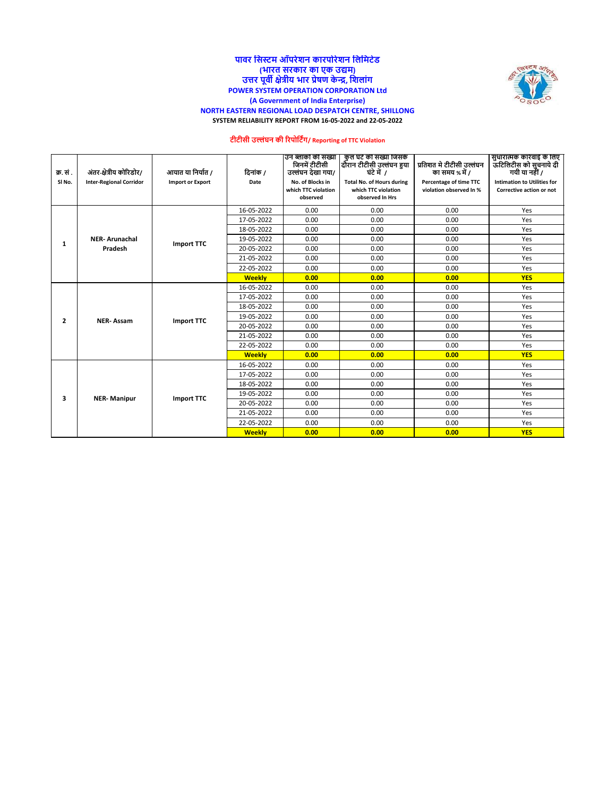

### **पावर नसस्टम ऑपरेशि कारपोरेशि नलनमटेड (भारत सरकार का एक उद्यम) उत्तर पूवी क्षेत्रीय भार प्रेषण केन्द्र, नशलांग POWER SYSTEM OPERATION CORPORATION Ltd (A Government of India Enterprise) NORTH EASTERN REGIONAL LOAD DESPATCH CENTRE, SHILLONG SYSTEM RELIABILITY REPORT FROM 16-05-2022 and 22-05-2022**

# **टीटीसी उल्लंघि की ररपोनटिंग/ Reporting of TTC Violation**

| क्र. सं.           | अंतर-क्षेत्रीय कोरिडोर/        | आयात या निर्यात /       | दिनांक /      | उन ब्लाको की संख्या<br>जिनमें टीटीसी<br>उल्लंघन देखा गया/ | कुल घट की संख्या जिसके<br>दौरान टीटीसी उल्लंघन हुया<br>घंटे में 7          | प्रतिशत मे टीटीसी उल्लंघन<br>का समय % में /       | सुधारात्मक कारवाई के लिए<br>.<br>ऊटिलिटीस को सुचनाये दी<br>गयी या नहीं / |
|--------------------|--------------------------------|-------------------------|---------------|-----------------------------------------------------------|----------------------------------------------------------------------------|---------------------------------------------------|--------------------------------------------------------------------------|
| SI <sub>No</sub> . | <b>Inter-Regional Corridor</b> | <b>Import or Export</b> | Date          | No. of Blocks in<br>which TTC violation<br>observed       | <b>Total No. of Hours during</b><br>which TTC violation<br>observed In Hrs | Percentage of time TTC<br>violation observed In % | <b>Intimation to Utilities for</b><br>Corrective action or not           |
|                    |                                |                         | 16-05-2022    | 0.00                                                      | 0.00                                                                       | 0.00                                              | Yes                                                                      |
|                    |                                |                         | 17-05-2022    | 0.00                                                      | 0.00                                                                       | 0.00                                              | Yes                                                                      |
|                    |                                |                         | 18-05-2022    | 0.00                                                      | 0.00                                                                       | 0.00                                              | Yes                                                                      |
| 1                  | <b>NER-Arunachal</b>           | <b>Import TTC</b>       | 19-05-2022    | 0.00                                                      | 0.00                                                                       | 0.00                                              | Yes                                                                      |
|                    | Pradesh                        |                         | 20-05-2022    | 0.00                                                      | 0.00                                                                       | 0.00                                              | Yes                                                                      |
|                    |                                |                         | 21-05-2022    | 0.00                                                      | 0.00                                                                       | 0.00                                              | Yes                                                                      |
|                    |                                |                         | 22-05-2022    | 0.00                                                      | 0.00                                                                       | 0.00<br>0.00                                      | Yes                                                                      |
|                    |                                |                         | <b>Weekly</b> | 0.00                                                      | 0.00                                                                       |                                                   | <b>YES</b>                                                               |
| $\overline{2}$     | <b>NER-Assam</b>               |                         | 16-05-2022    | 0.00                                                      | 0.00                                                                       | 0.00                                              | Yes                                                                      |
|                    |                                |                         | 17-05-2022    | 0.00                                                      | 0.00                                                                       | 0.00                                              | Yes                                                                      |
|                    |                                |                         | 18-05-2022    | 0.00                                                      | 0.00                                                                       | 0.00                                              | Yes                                                                      |
|                    |                                | <b>Import TTC</b>       | 19-05-2022    | 0.00                                                      | 0.00                                                                       | 0.00                                              | Yes                                                                      |
|                    |                                |                         | 20-05-2022    | 0.00                                                      | 0.00                                                                       | 0.00                                              | Yes                                                                      |
|                    |                                |                         | 21-05-2022    | 0.00                                                      | 0.00                                                                       | 0.00                                              | Yes                                                                      |
|                    |                                |                         | 22-05-2022    | 0.00                                                      | 0.00                                                                       | 0.00                                              | Yes                                                                      |
|                    |                                |                         | <b>Weekly</b> | 0.00                                                      | 0.00                                                                       | 0.00                                              | <b>YES</b>                                                               |
|                    |                                |                         | 16-05-2022    | 0.00                                                      | 0.00                                                                       | 0.00                                              | Yes                                                                      |
|                    |                                |                         | 17-05-2022    | 0.00                                                      | 0.00                                                                       | 0.00                                              | Yes                                                                      |
|                    |                                |                         | 18-05-2022    | 0.00                                                      | 0.00                                                                       | 0.00                                              | Yes                                                                      |
| 3                  | <b>NER-Manipur</b>             | <b>Import TTC</b>       | 19-05-2022    | 0.00                                                      | 0.00                                                                       | 0.00                                              | Yes                                                                      |
|                    |                                |                         | 20-05-2022    | 0.00                                                      | 0.00                                                                       | 0.00                                              | Yes                                                                      |
|                    |                                |                         | 21-05-2022    | 0.00                                                      | 0.00                                                                       | 0.00                                              | Yes                                                                      |
|                    |                                |                         | 22-05-2022    | 0.00                                                      | 0.00                                                                       | 0.00                                              | Yes                                                                      |
|                    |                                |                         | <b>Weekly</b> | 0.00                                                      | 0.00                                                                       | 0.00                                              | <b>YES</b>                                                               |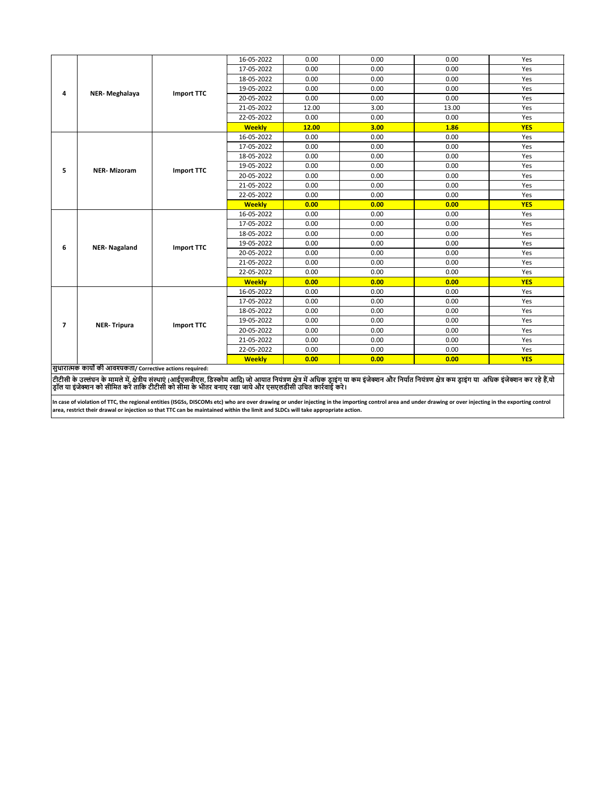|                | NER-Meghalaya                                                |                   | 16-05-2022    | 0.00  | 0.00 | 0.00         | Yes        |  |
|----------------|--------------------------------------------------------------|-------------------|---------------|-------|------|--------------|------------|--|
|                |                                                              |                   | 17-05-2022    | 0.00  | 0.00 | 0.00         | Yes        |  |
|                |                                                              |                   | 18-05-2022    | 0.00  | 0.00 | 0.00         |            |  |
| 4              |                                                              | <b>Import TTC</b> | 19-05-2022    | 0.00  | 0.00 | 0.00         | Yes        |  |
|                |                                                              |                   | 20-05-2022    | 0.00  | 0.00 | 0.00         | Yes        |  |
|                |                                                              |                   | 21-05-2022    | 12.00 | 3.00 | 13.00        | Yes        |  |
|                |                                                              |                   | 22-05-2022    | 0.00  | 0.00 | 0.00         | Yes        |  |
|                |                                                              |                   | <b>Weekly</b> | 12.00 | 3.00 | 1.86         | <b>YES</b> |  |
|                |                                                              |                   | 16-05-2022    | 0.00  | 0.00 | 0.00         | Yes        |  |
|                |                                                              |                   | 17-05-2022    | 0.00  | 0.00 | 0.00         | Yes        |  |
|                |                                                              |                   | 18-05-2022    | 0.00  | 0.00 | 0.00         | Yes        |  |
| 5              | <b>NER-Mizoram</b>                                           | <b>Import TTC</b> | 19-05-2022    | 0.00  | 0.00 | 0.00         | Yes        |  |
|                |                                                              |                   | 20-05-2022    | 0.00  | 0.00 | 0.00         | Yes        |  |
|                |                                                              |                   | 21-05-2022    | 0.00  | 0.00 | 0.00<br>0.00 | Yes        |  |
|                | <b>NER-Nagaland</b>                                          |                   | 22-05-2022    | 0.00  | 0.00 |              | Yes        |  |
|                |                                                              |                   | <b>Weekly</b> | 0.00  | 0.00 | 0.00         | <b>YES</b> |  |
|                |                                                              |                   | 16-05-2022    | 0.00  | 0.00 | 0.00         | Yes        |  |
|                |                                                              |                   | 17-05-2022    | 0.00  | 0.00 | 0.00         | Yes        |  |
|                |                                                              |                   | 18-05-2022    | 0.00  | 0.00 | 0.00         | Yes        |  |
| 6              |                                                              | <b>Import TTC</b> | 19-05-2022    | 0.00  | 0.00 | 0.00         | Yes        |  |
|                |                                                              |                   | 20-05-2022    | 0.00  | 0.00 | 0.00         | Yes        |  |
|                |                                                              |                   | 21-05-2022    | 0.00  | 0.00 | 0.00         | Yes        |  |
|                |                                                              |                   | 22-05-2022    | 0.00  | 0.00 | 0.00         | Yes        |  |
|                |                                                              |                   | <b>Weekly</b> | 0.00  | 0.00 | 0.00         | <b>YES</b> |  |
|                |                                                              |                   | 16-05-2022    | 0.00  | 0.00 | 0.00         | Yes        |  |
|                |                                                              |                   | 17-05-2022    | 0.00  | 0.00 | 0.00         | Yes        |  |
|                |                                                              |                   | 18-05-2022    | 0.00  | 0.00 | 0.00         | Yes        |  |
| $\overline{ }$ | <b>NER-Tripura</b>                                           | <b>Import TTC</b> | 19-05-2022    | 0.00  | 0.00 | 0.00         | Yes        |  |
|                |                                                              |                   | 20-05-2022    | 0.00  | 0.00 | 0.00         | Yes        |  |
|                |                                                              |                   | 21-05-2022    | 0.00  | 0.00 | 0.00         | Yes        |  |
|                |                                                              |                   | 22-05-2022    | 0.00  | 0.00 | 0.00         | Yes        |  |
|                |                                                              |                   | <b>Weekly</b> | 0.00  | 0.00 | 0.00         | <b>YES</b> |  |
|                | सुधारात्मक कार्यों की आवश्यकता/ Corrective actions required: |                   |               |       |      |              |            |  |
|                |                                                              |                   |               |       |      |              |            |  |

टीटीसी के उल्लंघन के मामले में, क्षेत्रीय संस्थाएं (आईएसजीएस, अरेक्जिम आई) जो आयात नियंत्री को अपने का प्राप्त<br>ड्रॉल या इंजेक्शन को सीमित करें ताकि टीटीसी को सीमा के भीतर बनाए रखा जाये और एसएलडीसी उचित कर्रवाई करे।

In case of violation of TTC, the regional entities (ISGSs, DISCOMs etc) who are over drawing or under injecting in the importing control area and under drawing or over injecting in the exporting control<br>area, restrict thei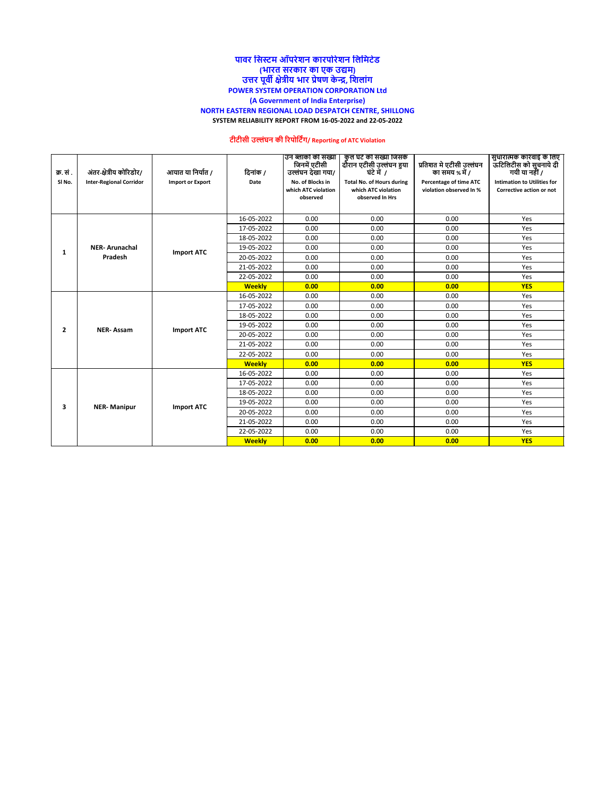#### **पावर नसस्टम ऑपरेशि कारपोरेशि नलनमटेड (भारत सरकार का एक उद्यम) उत्तर पूवी क्षेत्रीय भार प्रेषण केन्द्र, नशलांग POWER SYSTEM OPERATION CORPORATION Ltd (A Government of India Enterprise) NORTH EASTERN REGIONAL LOAD DESPATCH CENTRE, SHILLONG SYSTEM RELIABILITY REPORT FROM 16-05-2022 and 22-05-2022**

## **टीटीसी उल्लंघि की ररपोनटिंग/ Reporting of ATC Violation**

| क्र. सं .<br>SI <sub>No</sub> . | अंतर-क्षेत्रीय कोरिडोर/<br><b>Inter-Regional Corridor</b> | आयात या निर्यात /<br><b>Import or Export</b> | दिनांक /<br>Date | उन ब्लाको की संख्या<br>जिनमें एटीसी<br>उल्लंघन देखा गया/<br>No. of Blocks in<br>which ATC violation | कुल घटे की संख्या जिसके<br>दौरान एटीसी उल्लंघन हुया<br>घंटे में 7<br><b>Total No. of Hours during</b><br>which ATC violation | प्रतिशत मे एटीसी उल्लंघन<br>का समय % में /<br><b>Percentage of time ATC</b>                                            | -सुधारात्मक कारवाइ के लिए<br>  ऊटिलिटीस को सूचनाये दी<br>गयी या नहीं /<br><b>Intimation to Utilities for</b> |
|---------------------------------|-----------------------------------------------------------|----------------------------------------------|------------------|-----------------------------------------------------------------------------------------------------|------------------------------------------------------------------------------------------------------------------------------|------------------------------------------------------------------------------------------------------------------------|--------------------------------------------------------------------------------------------------------------|
|                                 |                                                           |                                              |                  | observed                                                                                            | observed In Hrs                                                                                                              |                                                                                                                        | Corrective action or not                                                                                     |
|                                 |                                                           |                                              |                  |                                                                                                     |                                                                                                                              |                                                                                                                        |                                                                                                              |
|                                 |                                                           |                                              | 16-05-2022       | 0.00                                                                                                | 0.00                                                                                                                         |                                                                                                                        | Yes                                                                                                          |
|                                 |                                                           |                                              | 17-05-2022       | 0.00                                                                                                | 0.00                                                                                                                         |                                                                                                                        | Yes                                                                                                          |
|                                 |                                                           |                                              | 18-05-2022       | 0.00                                                                                                | 0.00                                                                                                                         |                                                                                                                        | Yes                                                                                                          |
|                                 | <b>NER-Arunachal</b>                                      |                                              | 19-05-2022       | 0.00                                                                                                | 0.00                                                                                                                         | 0.00                                                                                                                   | Yes                                                                                                          |
| 1                               | Pradesh                                                   | <b>Import ATC</b>                            | 20-05-2022       | 0.00                                                                                                | 0.00                                                                                                                         | 0.00                                                                                                                   | Yes                                                                                                          |
|                                 |                                                           |                                              | 21-05-2022       | 0.00                                                                                                | 0.00                                                                                                                         | 0.00                                                                                                                   | Yes                                                                                                          |
|                                 |                                                           |                                              | 22-05-2022       | 0.00                                                                                                | 0.00                                                                                                                         | 0.00                                                                                                                   | Yes                                                                                                          |
|                                 |                                                           |                                              | <b>Weekly</b>    | 0.00                                                                                                | 0.00                                                                                                                         | 0.00                                                                                                                   | <b>YES</b>                                                                                                   |
|                                 | <b>NER-Assam</b>                                          |                                              | 16-05-2022       | 0.00                                                                                                | 0.00                                                                                                                         | 0.00                                                                                                                   | Yes                                                                                                          |
|                                 |                                                           |                                              | 17-05-2022       | 0.00                                                                                                | 0.00                                                                                                                         | 0.00                                                                                                                   | Yes                                                                                                          |
|                                 |                                                           |                                              | 18-05-2022       | 0.00                                                                                                | 0.00                                                                                                                         | 0.00                                                                                                                   | Yes                                                                                                          |
| $\overline{2}$                  |                                                           | <b>Import ATC</b>                            | 19-05-2022       | 0.00                                                                                                | 0.00                                                                                                                         | 0.00                                                                                                                   | Yes                                                                                                          |
|                                 |                                                           |                                              | 20-05-2022       | 0.00                                                                                                | 0.00                                                                                                                         | 0.00                                                                                                                   | Yes                                                                                                          |
|                                 |                                                           |                                              | 21-05-2022       | 0.00                                                                                                | 0.00                                                                                                                         | 0.00                                                                                                                   | Yes                                                                                                          |
|                                 |                                                           |                                              | 22-05-2022       | 0.00                                                                                                | 0.00                                                                                                                         | 0.00                                                                                                                   | Yes                                                                                                          |
|                                 |                                                           |                                              | <b>Weekly</b>    | 0.00                                                                                                | 0.00                                                                                                                         | 0.00                                                                                                                   | <b>YES</b>                                                                                                   |
|                                 |                                                           |                                              | 16-05-2022       | 0.00                                                                                                | 0.00                                                                                                                         | violation observed In %<br>0.00<br>0.00<br>0.00<br>0.00<br>Yes<br>0.00<br>0.00<br>0.00<br>0.00<br>0.00<br>0.00<br>0.00 |                                                                                                              |
|                                 |                                                           |                                              | 17-05-2022       | 0.00                                                                                                | 0.00                                                                                                                         |                                                                                                                        | Yes                                                                                                          |
|                                 |                                                           |                                              | 18-05-2022       | 0.00                                                                                                | 0.00                                                                                                                         |                                                                                                                        | Yes                                                                                                          |
| 3                               | <b>NER-Manipur</b>                                        | <b>Import ATC</b>                            | 19-05-2022       | 0.00                                                                                                | 0.00                                                                                                                         |                                                                                                                        | Yes                                                                                                          |
|                                 |                                                           |                                              | 20-05-2022       | 0.00                                                                                                | 0.00                                                                                                                         |                                                                                                                        | Yes                                                                                                          |
|                                 |                                                           |                                              | 21-05-2022       | 0.00                                                                                                | 0.00                                                                                                                         |                                                                                                                        | Yes                                                                                                          |
|                                 |                                                           |                                              | 22-05-2022       | 0.00                                                                                                | 0.00                                                                                                                         |                                                                                                                        | Yes                                                                                                          |
|                                 |                                                           |                                              | <b>Weekly</b>    | 0.00                                                                                                | 0.00                                                                                                                         |                                                                                                                        | <b>YES</b>                                                                                                   |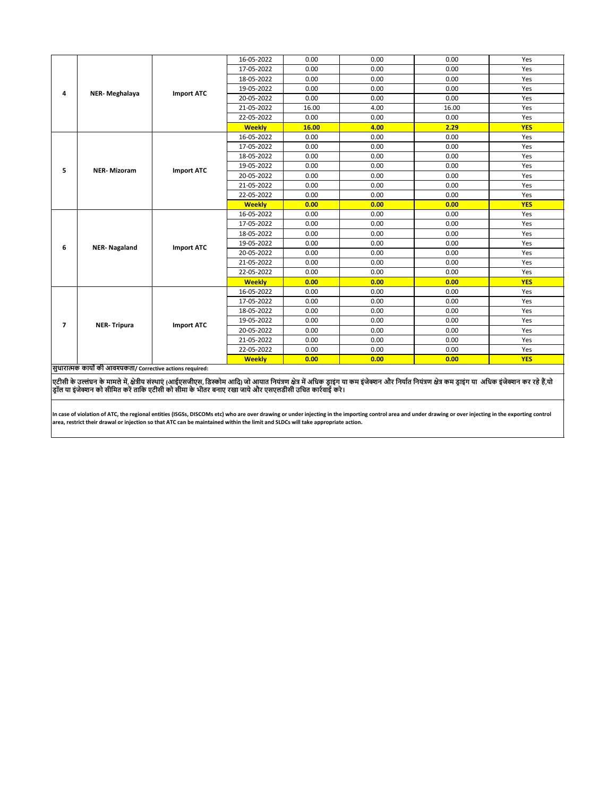|                |                     |                   | <b>Weekly</b>            | 0.00         | 0.00         | 0.00                                                                                          | <b>YES</b> |
|----------------|---------------------|-------------------|--------------------------|--------------|--------------|-----------------------------------------------------------------------------------------------|------------|
|                | <b>NER-Tripura</b>  |                   | 22-05-2022               | 0.00         | 0.00         | 0.00                                                                                          | Yes        |
|                |                     |                   | 21-05-2022               | 0.00         | 0.00         | 0.00                                                                                          | Yes        |
| $\overline{ }$ |                     | <b>Import ATC</b> | 20-05-2022               | 0.00         | 0.00         | 0.00                                                                                          | Yes        |
|                |                     |                   | 19-05-2022               | 0.00         | 0.00         | 0.00                                                                                          | Yes        |
|                |                     |                   | 18-05-2022               | 0.00         | 0.00         | 0.00                                                                                          | Yes        |
|                |                     |                   | 17-05-2022               | 0.00         | 0.00         | 0.00                                                                                          | Yes        |
|                |                     |                   | 16-05-2022               | 0.00         | 0.00         | 0.00                                                                                          | Yes        |
|                |                     |                   | <b>Weekly</b>            | 0.00         | 0.00         | 0.00                                                                                          | <b>YES</b> |
|                |                     |                   | 22-05-2022               | 0.00         | 0.00         | 0.00                                                                                          | Yes        |
|                | <b>NER-Nagaland</b> |                   | 21-05-2022               | 0.00         | 0.00         | 0.00                                                                                          | Yes        |
| 6              |                     | <b>Import ATC</b> | 20-05-2022               | 0.00         | 0.00         | 0.00                                                                                          | Yes        |
|                |                     |                   | 19-05-2022               | 0.00         | 0.00         |                                                                                               | Yes        |
|                |                     |                   | 18-05-2022               | 0.00         | 0.00         | 0.00                                                                                          | Yes        |
|                |                     |                   | 17-05-2022               | 0.00         | 0.00         | 0.00                                                                                          | Yes        |
|                | <b>NER-Mizoram</b>  |                   | 16-05-2022               | 0.00         | 0.00         | 0.00                                                                                          | Yes        |
|                |                     |                   | <b>Weekly</b>            | 0.00         | 0.00         | 0.00                                                                                          | <b>YES</b> |
|                |                     |                   | 22-05-2022               | 0.00         | 0.00         | 0.00<br>0.00<br>0.00                                                                          | Yes        |
|                |                     |                   | 21-05-2022               | 0.00         | 0.00         |                                                                                               | Yes        |
| 5              |                     | <b>Import ATC</b> | 20-05-2022               | 0.00         | 0.00         |                                                                                               | Yes        |
|                |                     |                   | 19-05-2022               | 0.00         | 0.00         | 0.00                                                                                          | Yes        |
|                |                     |                   | 18-05-2022               | 0.00         | 0.00         |                                                                                               | Yes        |
|                |                     |                   | 17-05-2022               | 0.00         | 0.00         |                                                                                               | Yes        |
|                |                     |                   | 16-05-2022               | 0.00         | 0.00         | 0.00<br>0.00<br>0.00<br>0.00<br>0.00<br>16.00<br>0.00<br>2.29<br>0.00<br>0.00<br>0.00<br>0.00 | Yes        |
|                |                     |                   | <b>Weekly</b>            | 16.00        | 4.00         |                                                                                               | <b>YES</b> |
|                | NER-Meghalaya       |                   | 22-05-2022               | 0.00         | 0.00         |                                                                                               | Yes        |
|                |                     |                   | 21-05-2022               | 16.00        | 4.00         |                                                                                               | Yes        |
| 4              |                     | <b>Import ATC</b> | 20-05-2022               | 0.00         | 0.00         |                                                                                               | Yes        |
|                |                     |                   | 18-05-2022<br>19-05-2022 | 0.00<br>0.00 | 0.00<br>0.00 |                                                                                               | Yes<br>Yes |
|                |                     |                   | 17-05-2022               | 0.00         | 0.00         |                                                                                               | Yes        |
|                |                     |                   | 16-05-2022               | 0.00         | 0.00         |                                                                                               | Yes        |
|                |                     |                   |                          |              |              |                                                                                               |            |

**सुधारात्मक कायों की आवश्यकता/ Corrective actions required:**

एटीसी के उल्लंघन के मामले में, क्षेत्रीय संस्थाएं (आईएसजीएस, डिस्कोम आदि) जो आयात नियंज को अपने इंजिक्शन और नियात नियंत्रण क्षेत्र कम ड्राइंग या अधिक इंजेक्शन कर रहे हैं,यो<br>ड्रॉल या इंजेक्शन को सीमित करें ताकि एटीसी को सी

In case of violation of ATC, the regional entities (ISGSs, DISCOMs etc) who are over drawing or under injecting in the importing control area and under drawing or over injecting in the exporting control **area, restrict their drawal or injection so that ATC can be maintained within the limit and SLDCs will take appropriate action.**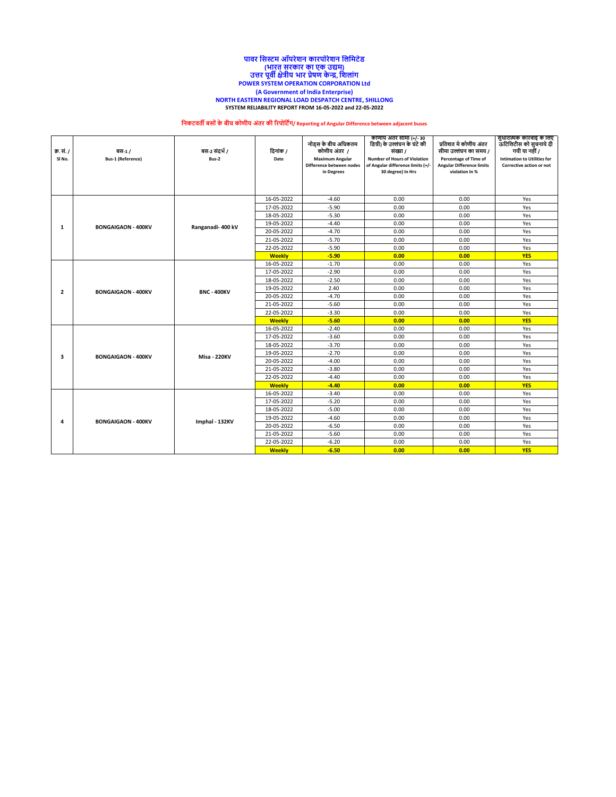#### **NORTH EASTERN REGIONAL LOAD DESPATCH CENTRE, SHILLONG SYSTEM RELIABILITY REPORT FROM 16-05-2022 and 22-05-2022 पावर नसस्टम ऑपरेशि कारपोरेशि नलनमटेड (भारत सरकार का एक उद्यम) उत्तर पूवी क्षेत्रीय भार प्रेषण केन्द्र, नशलांग POWER SYSTEM OPERATION CORPORATION Ltd (A Government of India Enterprise)**

# **निकटवती बसोंके बीच कोणीय अंतर की ररपोनटिंग/ Reporting of Angular Difference between adjacent buses**

| क्र. सं. /<br>SI No. | वस-1/<br><b>Bus-1 (Reference)</b> | बस-2 संदर्भ /<br>Bus-2 | दिनांक /<br>Date                      | नोड्स के बीच अधिकतम<br>कोणीय अंतर <i>।</i><br><b>Maximum Angular</b><br>Difference between nodes<br>in Degrees | काणाय अंतर सामा (+/- 30<br>डिग्री) के उल्लंघन के घंटे की<br>संख्या /<br><b>Number of Hours of Violation</b><br>of Angular difference limits (+/-<br>30 degree) In Hrs | प्रतिशत मे कोणीय अंतर<br>सीमा उल्लंघन का समय /<br>Percentage of Time of<br><b>Angular Difference limits</b><br>violation In % | सुधारात्मक कारवाइ के लिए<br>ऊटिलिटीस को सुचनाये दी<br>गयी या नहीं /<br><b>Intimation to Utilities for</b><br>Corrective action or not |
|----------------------|-----------------------------------|------------------------|---------------------------------------|----------------------------------------------------------------------------------------------------------------|-----------------------------------------------------------------------------------------------------------------------------------------------------------------------|-------------------------------------------------------------------------------------------------------------------------------|---------------------------------------------------------------------------------------------------------------------------------------|
|                      |                                   |                        | 16-05-2022                            | $-4.60$                                                                                                        | 0.00                                                                                                                                                                  | 0.00                                                                                                                          | Yes                                                                                                                                   |
|                      |                                   |                        | 17-05-2022                            | $-5.90$                                                                                                        | 0.00                                                                                                                                                                  | 0.00                                                                                                                          | Yes                                                                                                                                   |
|                      |                                   |                        | 18-05-2022                            | $-5.30$                                                                                                        | 0.00                                                                                                                                                                  | 0.00                                                                                                                          | Yes                                                                                                                                   |
| 1                    | <b>BONGAIGAON - 400KV</b>         | Ranganadi- 400 kV      | 19-05-2022                            | $-4.40$                                                                                                        | 0.00                                                                                                                                                                  | 0.00                                                                                                                          | Yes                                                                                                                                   |
|                      |                                   |                        | 20-05-2022                            | $-4.70$                                                                                                        | 0.00                                                                                                                                                                  | 0.00                                                                                                                          | Yes                                                                                                                                   |
|                      |                                   |                        | 21-05-2022                            | $-5.70$                                                                                                        | 0.00                                                                                                                                                                  | 0.00                                                                                                                          | Yes                                                                                                                                   |
|                      |                                   |                        | 22-05-2022                            | $-5.90$                                                                                                        | 0.00                                                                                                                                                                  | 0.00                                                                                                                          | Yes                                                                                                                                   |
|                      |                                   |                        | <b>Weekly</b>                         | $-5.90$                                                                                                        | 0.00                                                                                                                                                                  | 0.00                                                                                                                          | <b>YES</b>                                                                                                                            |
|                      |                                   |                        | 16-05-2022                            | $-1.70$                                                                                                        | 0.00                                                                                                                                                                  | 0.00                                                                                                                          | Yes                                                                                                                                   |
|                      |                                   |                        | 17-05-2022                            | $-2.90$                                                                                                        | 0.00                                                                                                                                                                  | 0.00                                                                                                                          | Yes                                                                                                                                   |
|                      | <b>BONGAIGAON - 400KV</b>         |                        | 18-05-2022                            | $-2.50$                                                                                                        | 0.00<br>0.00                                                                                                                                                          | Yes                                                                                                                           |                                                                                                                                       |
| $\overline{2}$       |                                   | <b>BNC - 400KV</b>     | 19-05-2022                            | 2.40                                                                                                           | 0.00                                                                                                                                                                  | 0.00                                                                                                                          | Yes                                                                                                                                   |
|                      |                                   |                        | 20-05-2022                            | $-4.70$                                                                                                        | 0.00                                                                                                                                                                  | 0.00                                                                                                                          | Yes                                                                                                                                   |
|                      |                                   |                        | 21-05-2022                            | $-5.60$                                                                                                        | 0.00                                                                                                                                                                  | 0.00                                                                                                                          | Yes                                                                                                                                   |
|                      |                                   |                        | $-3.30$<br>0.00<br>22-05-2022<br>0.00 |                                                                                                                | Yes                                                                                                                                                                   |                                                                                                                               |                                                                                                                                       |
|                      |                                   |                        | <b>Weekly</b>                         | $-5.60$                                                                                                        | 0.00                                                                                                                                                                  | 0.00                                                                                                                          | <b>YES</b>                                                                                                                            |
|                      |                                   |                        | 16-05-2022                            | $-2.40$                                                                                                        | 0.00                                                                                                                                                                  | 0.00                                                                                                                          | Yes                                                                                                                                   |
|                      | <b>BONGAIGAON - 400KV</b>         | <b>Misa - 220KV</b>    | 17-05-2022                            | $-3.60$                                                                                                        | 0.00                                                                                                                                                                  | 0.00                                                                                                                          | Yes                                                                                                                                   |
|                      |                                   |                        | 18-05-2022                            | $-3.70$                                                                                                        | 0.00                                                                                                                                                                  | 0.00                                                                                                                          | Yes                                                                                                                                   |
| 3                    |                                   |                        | 19-05-2022                            | $-2.70$                                                                                                        | 0.00                                                                                                                                                                  | 0.00                                                                                                                          | Yes                                                                                                                                   |
|                      |                                   |                        | 20-05-2022                            | $-4.00$                                                                                                        | 0.00                                                                                                                                                                  | 0.00                                                                                                                          | Yes                                                                                                                                   |
|                      |                                   |                        | 21-05-2022                            | $-3.80$                                                                                                        | 0.00                                                                                                                                                                  | 0.00                                                                                                                          | Yes                                                                                                                                   |
|                      |                                   |                        | 22-05-2022                            | $-4.40$                                                                                                        | 0.00                                                                                                                                                                  | 0.00                                                                                                                          | Yes                                                                                                                                   |
|                      |                                   |                        | <b>Weekly</b>                         | $-4.40$                                                                                                        | 0.00                                                                                                                                                                  | 0.00                                                                                                                          | <b>YES</b>                                                                                                                            |
|                      |                                   |                        | 16-05-2022                            | $-3.40$                                                                                                        | 0.00                                                                                                                                                                  | 0.00                                                                                                                          | Yes                                                                                                                                   |
|                      |                                   |                        | 17-05-2022<br>18-05-2022              | $-5.20$<br>$-5.00$                                                                                             | 0.00<br>0.00                                                                                                                                                          | 0.00<br>0.00                                                                                                                  | Yes                                                                                                                                   |
|                      |                                   |                        |                                       |                                                                                                                |                                                                                                                                                                       |                                                                                                                               | Yes                                                                                                                                   |
| 4                    | <b>BONGAIGAON - 400KV</b>         | Imphal - 132KV         | 19-05-2022<br>20-05-2022              | $-4.60$<br>$-6.50$                                                                                             | 0.00<br>0.00                                                                                                                                                          | 0.00<br>0.00                                                                                                                  | Yes<br>Yes                                                                                                                            |
|                      |                                   |                        | 21-05-2022                            | $-5.60$                                                                                                        | 0.00                                                                                                                                                                  | 0.00                                                                                                                          | Yes                                                                                                                                   |
|                      |                                   |                        | 22-05-2022                            | $-6.20$                                                                                                        | 0.00                                                                                                                                                                  | 0.00                                                                                                                          | Yes                                                                                                                                   |
|                      |                                   |                        | <b>Weekly</b>                         | $-6.50$                                                                                                        | 0.00                                                                                                                                                                  | 0.00                                                                                                                          | <b>YES</b>                                                                                                                            |